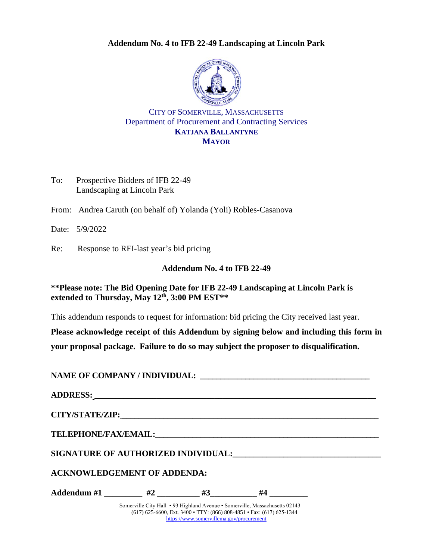#### **Addendum No. 4 to IFB 22-49 Landscaping at Lincoln Park**



### CITY OF SOMERVILLE, MASSACHUSETTS Department of Procurement and Contracting Services **KATJANA BALLANTYNE MAYOR**

To: Prospective Bidders of IFB 22-49 Landscaping at Lincoln Park

From: Andrea Caruth (on behalf of) Yolanda (Yoli) Robles-Casanova

Date: 5/9/2022

Re: Response to RFI-last year's bid pricing

### **Addendum No. 4 to IFB 22-49**

**\*\*Please note: The Bid Opening Date for IFB 22-49 Landscaping at Lincoln Park is extended to Thursday, May 12th, 3:00 PM EST\*\***

This addendum responds to request for information: bid pricing the City received last year.

**Please acknowledge receipt of this Addendum by signing below and including this form in your proposal package. Failure to do so may subject the proposer to disqualification.**

### **NAME OF COMPANY / INDIVIDUAL: \_\_\_\_\_\_\_\_\_\_\_\_\_\_\_\_\_\_\_\_\_\_\_\_\_\_\_\_\_\_\_\_\_\_\_\_\_\_\_\_\_**

| <b>ACKNOWLEDGEMENT OF ADDENDA:</b> |  |                                                                                                                                                        |  |
|------------------------------------|--|--------------------------------------------------------------------------------------------------------------------------------------------------------|--|
| Addendum #1 $\#2$ $\#3$ $\#4$      |  |                                                                                                                                                        |  |
|                                    |  | Somerville City Hall • 93 Highland Avenue • Somerville, Massachusetts 02143<br>$(617)$ 625 6600 Eyt 2400. TTV, $(966)$ 909 4951. Egy: $(617)$ 625 1244 |  |

(617) 625-6600, Ext. 3400 • TTY: (866) 808-4851 • Fax: (617) 625-1344 <https://www.somervillema.gov/procurement>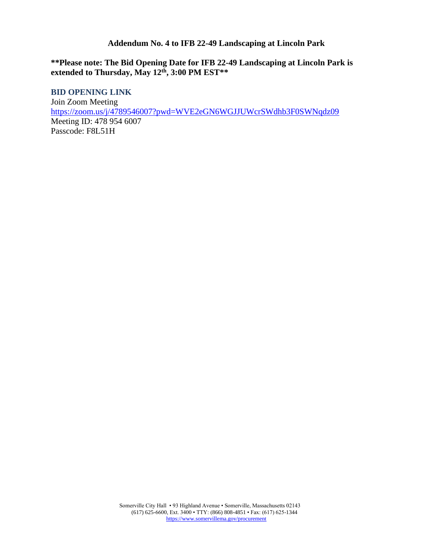#### **Addendum No. 4 to IFB 22-49 Landscaping at Lincoln Park**

## **\*\*Please note: The Bid Opening Date for IFB 22-49 Landscaping at Lincoln Park is extended to Thursday, May 12th, 3:00 PM EST\*\***

**BID OPENING LINK** Join Zoom Meeting <https://zoom.us/j/4789546007?pwd=WVE2eGN6WGJJUWcrSWdhb3F0SWNqdz09> Meeting ID: 478 954 6007 Passcode: F8L51H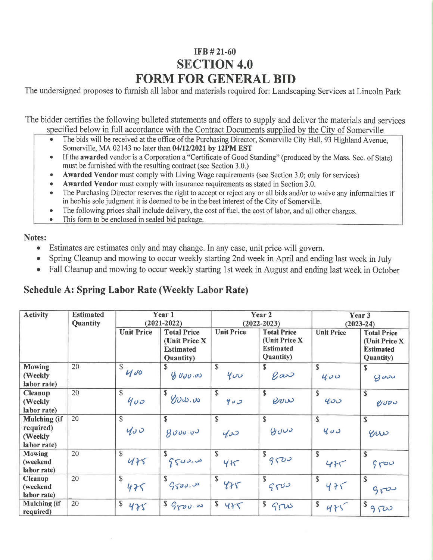# IFB #21-60 **SECTION 4.0 FORM FOR GENERAL BID**

The undersigned proposes to furnish all labor and materials required for: Landscaping Services at Lincoln Park

The bidder certifies the following bulleted statements and offers to supply and deliver the materials and services specified below in full accordance with the Contract Documents supplied by the City of Somerville

- The bids will be received at the office of the Purchasing Director, Somerville City Hall, 93 Highland Avenue, Somerville, MA 02143 no later than 04/12/2021 by 12PM EST
- If the awarded vendor is a Corporation a "Certificate of Good Standing" (produced by the Mass. Sec. of State) must be furnished with the resulting contract (see Section 3.0.)
- Awarded Vendor must comply with Living Wage requirements (see Section 3.0; only for services)
- Awarded Vendor must comply with insurance requirements as stated in Section 3.0.
- The Purchasing Director reserves the right to accept or reject any or all bids and/or to waive any informalities if in her/his sole judgment it is deemed to be in the best interest of the City of Somerville.
- The following prices shall include delivery, the cost of fuel, the cost of labor, and all other charges.
- This form to be enclosed in sealed bid package.

## Notes:

- Estimates are estimates only and may change. In any case, unit price will govern.  $\bullet$
- Spring Cleanup and mowing to occur weekly starting 2nd week in April and ending last week in July  $\bullet$
- Fall Cleanup and mowing to occur weekly starting 1st week in August and ending last week in October  $\bullet$

## **Schedule A: Spring Labor Rate (Weekly Labor Rate)**

| <b>Activity</b>                                            | <b>Estimated</b><br>Quantity | Year 1<br>$(2021 - 2022)$ |                                                                               | Year <sub>2</sub><br>$(2022 - 2023)$ |                                                                               | Year 3<br>$(2023 - 24)$ |                                                                               |
|------------------------------------------------------------|------------------------------|---------------------------|-------------------------------------------------------------------------------|--------------------------------------|-------------------------------------------------------------------------------|-------------------------|-------------------------------------------------------------------------------|
|                                                            |                              | <b>Unit Price</b>         | <b>Total Price</b><br>(Unit Price X)<br><b>Estimated</b><br><b>Quantity</b> ) | <b>Unit Price</b>                    | <b>Total Price</b><br>(Unit Price X)<br><b>Estimated</b><br><b>Quantity</b> ) | <b>Unit Price</b>       | <b>Total Price</b><br>(Unit Price X)<br><b>Estimated</b><br><b>Quantity</b> ) |
| <b>Mowing</b><br>(Weekly<br>labor rate)                    | 20                           | $\mathbb S$<br>400        | \$<br>90000                                                                   | \$<br>400                            | \$.<br>$\ell$ ar                                                              | $\mathbb S$<br>400      | $\mathbb{S}$<br>900                                                           |
| <b>Cleanup</b><br>(Weekly<br>labor rate)                   | 20                           | $\mathbb{S}$<br>400       | \$<br>$\mathcal{Y}v\omega$ .                                                  | $\mathbb{S}$<br>400                  | $\mathsf{\$}$<br>erro                                                         | $\mathbb{S}$<br>400     | $\mathbb{S}$<br>6000                                                          |
| <b>Mulching</b> (if<br>required)<br>(Weekly<br>labor rate) | 20                           | $\mathbb{S}$<br>400       | \$<br>9000.00                                                                 | $\mathbb{S}$<br>400                  | $\mathbb{S}$<br>9000                                                          | $\mathbb{S}$<br>400     | $\mathbb{S}$<br>erro                                                          |
| <b>Mowing</b><br>(weekend<br>labor rate)                   | 20                           | $\mathbb{S}$<br>475       | \$<br>9500.00                                                                 | $\mathbb{S}$<br>415                  | \$<br>9500                                                                    | $\mathbb{S}$<br>475     | $\mathbb{S}$<br>9500                                                          |
| <b>Cleanup</b><br>(weekend<br>labor rate)                  | 20                           | $\mathbb{S}$<br>475       | \$<br>G <sub>S</sub>                                                          | $\mathbb{S}$<br>485                  | \$<br>9500                                                                    | \$<br>475               | \$<br>9500                                                                    |
| <b>Mulching</b> (if<br>required)                           | 20                           | $\mathbb S$<br>475        | $S_{YU}$                                                                      | $\mathbb S$<br>425                   | $\mathbb{S}$<br>500                                                           | $\mathbb S$<br>475      | \$<br>9500                                                                    |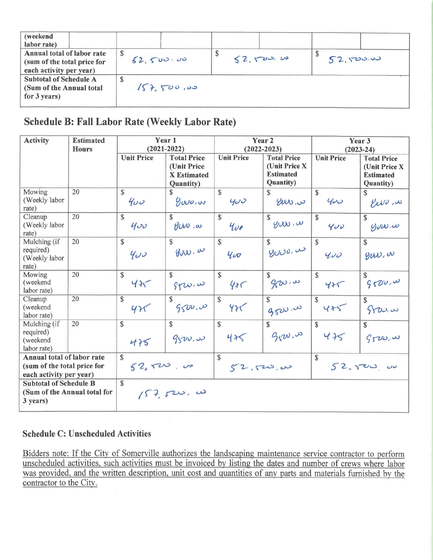| (weekend<br>labor rate)                                                              |            |          |                |
|--------------------------------------------------------------------------------------|------------|----------|----------------|
| Annual total of labor rate<br>(sum of the total price for<br>each activity per year) | 52,500.00  | 52.50000 | Φ<br>52,500.00 |
| <b>Subtotal of Schedule A</b><br>(Sum of the Annual total<br>for 3 years)            | 157,500,00 |          |                |

## **Schedule B: Fall Labor Rate (Weekly Labor Rate)**

| <b>Activity</b>                                                                      | <b>Estimated</b><br><b>Hours</b>                                                             | Year 1<br>$(2021 - 2022)$ |                                                                              | Year 2<br>$(2022 - 2023)$ |                                                                       | Year 3<br>$(2023 - 24)$   |                                                                       |
|--------------------------------------------------------------------------------------|----------------------------------------------------------------------------------------------|---------------------------|------------------------------------------------------------------------------|---------------------------|-----------------------------------------------------------------------|---------------------------|-----------------------------------------------------------------------|
|                                                                                      |                                                                                              | <b>Unit Price</b>         | <b>Total Price</b><br>(Unit Price<br><b>X</b> Estimated<br><b>Quantity</b> ) | <b>Unit Price</b>         | <b>Total Price</b><br>(Unit Price X)<br><b>Estimated</b><br>Quantity) | <b>Unit Price</b>         | <b>Total Price</b><br>(Unit Price X)<br><b>Estimated</b><br>Quantity) |
| Mowing<br>(Weekly labor)<br>rate)                                                    | 20                                                                                           | \$<br>400                 | \$.<br>9000.00                                                               | $\mathbb{S}$<br>400       | S.<br>eww                                                             | \$<br>400                 | $\mathbb{S}$<br>enso.w                                                |
| Cleanup<br>(Weekly labor)<br>rate)                                                   | 20                                                                                           | $\mathbb{S}$<br>400       | $\mathcal{S}$<br>Priv, as                                                    | $\mathbb{S}$<br>400       | S.<br>$y_w$ $\omega$                                                  | \$<br>400                 | $\mathcal{S}$<br>$\mathcal{G}$ orra                                   |
| Mulching (if<br>required)<br>(Weekly labor<br>rate)                                  | 20                                                                                           | $\mathcal{S}$<br>400      | $\mathcal{S}$<br>900.00                                                      | $\mathbb{S}$<br>400       | £.<br>www.w                                                           | $\mathbb{S}$<br>400       | $\mathbb{S}$<br>guw.w                                                 |
| Mowing<br>(weekend<br>labor rate)                                                    | 20                                                                                           | $\mathbb{S}$<br>425       | $\mathbb{S}$<br>980.00                                                       | $\mathbb{S}$<br>485       | S.<br>$g_{\text{2D}}$                                                 | $\mathbb{S}$<br>425       | $\$$<br>9500, w                                                       |
| Cleanup<br>(weekend<br>labor rate)                                                   | 20                                                                                           | $\mathbb{S}$<br>425       | \$<br>9500.00                                                                | \$<br>425                 | \$<br>9520,00                                                         | $\mathbb{S}$<br>425       | $\mathbf{s}$<br>9700.4                                                |
| Mulching (if<br>required)<br>(weekend<br>labor rate)                                 | 20                                                                                           | $\mathbb{S}$<br>475       | $\mathbb{S}$<br>9500.00                                                      | $\mathbb{S}$<br>475       | $\mathcal{S}$<br>9000                                                 | $\mathcal{S}$<br>475      | \$<br>520.4                                                           |
| Annual total of labor rate<br>(sum of the total price for<br>each activity per year) |                                                                                              | $\mathbb{S}$<br>52,500,00 |                                                                              | \$<br>52.520.00           |                                                                       | $\mathbb{S}$<br>52.500000 |                                                                       |
| 3 years)                                                                             | $\mathbf S$<br><b>Subtotal of Schedule B</b><br>(Sum of the Annual total for<br>$157,500.$ w |                           |                                                                              |                           |                                                                       |                           |                                                                       |

## **Schedule C: Unscheduled Activities**

Bidders note: If the City of Somerville authorizes the landscaping maintenance service contractor to perform unscheduled activities, such activities must be invoiced by listing the dates and number of crews where labor was provided, and the written description, unit cost and quantities of any parts and materials furnished by the contractor to the City.